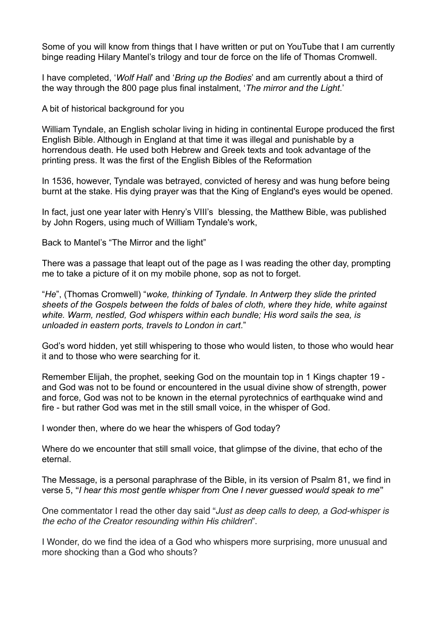Some of you will know from things that I have written or put on YouTube that I am currently binge reading Hilary Mantel's trilogy and tour de force on the life of Thomas Cromwell.

I have completed, '*Wolf Hall*' and '*Bring up the Bodies*' and am currently about a third of the way through the 800 page plus final instalment, '*The mirror and the Light*.'

A bit of historical background for you

William Tyndale, an English scholar living in hiding in continental Europe produced the first English Bible. Although in England at that time it was illegal and punishable by a horrendous death. He used both Hebrew and Greek texts and took advantage of the printing press. It was the first of the English Bibles of the Reformation

In 1536, however, Tyndale was betrayed, convicted of [heresy](https://en.wikipedia.org/wiki/Heresy) and was hung before being burnt at the stake. His dying prayer was that the King of England's eyes would be opened.

In fact, just one year later with Henry's VIII's blessing, the [Matthew Bible](https://en.wikipedia.org/wiki/Matthew_Bible), was published by [John Rogers](https://en.wikipedia.org/wiki/John_Rogers_(Bible_editor_and_martyr)), using much of [William Tyndale](https://en.wikipedia.org/wiki/William_Tyndale)'s work,

Back to Mantel's "The Mirror and the light"

There was a passage that leapt out of the page as I was reading the other day, prompting me to take a picture of it on my mobile phone, sop as not to forget.

"*He*", (Thomas Cromwell) "*woke, thinking of Tyndale. In Antwerp they slide the printed sheets of the Gospels between the folds of bales of cloth, where they hide, white against white. Warm, nestled, God whispers within each bundle; His word sails the sea, is unloaded in eastern ports, travels to London in cart*."

God's word hidden, yet still whispering to those who would listen, to those who would hear it and to those who were searching for it.

Remember Elijah, the prophet, seeking God on the mountain top in 1 Kings chapter 19 and God was not to be found or encountered in the usual divine show of strength, power and force, God was not to be known in the eternal pyrotechnics of earthquake wind and fire - but rather God was met in the still small voice, in the whisper of God.

I wonder then, where do we hear the whispers of God today?

Where do we encounter that still small voice, that glimpse of the divine, that echo of the eternal.

The Message, is a personal paraphrase of the Bible, in its version of Psalm 81, we find in verse 5, "*I hear this most gentle whisper from One I never guessed would speak to me*"

One commentator I read the other day said "*Just as deep calls to deep, a God-whisper is the echo of the Creator resounding within His children*".

I Wonder, do we find the idea of a God who whispers more surprising, more unusual and more shocking than a God who shouts?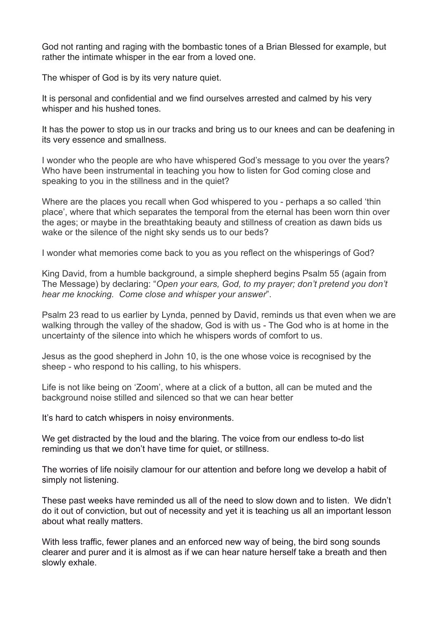God not ranting and raging with the bombastic tones of a Brian Blessed for example, but rather the intimate whisper in the ear from a loved one.

The whisper of God is by its very nature quiet.

It is personal and confidential and we find ourselves arrested and calmed by his very whisper and his hushed tones.

It has the power to stop us in our tracks and bring us to our knees and can be deafening in its very essence and smallness.

I wonder who the people are who have whispered God's message to you over the years? Who have been instrumental in teaching you how to listen for God coming close and speaking to you in the stillness and in the quiet?

Where are the places you recall when God whispered to you - perhaps a so called 'thin place', where that which separates the temporal from the eternal has been worn thin over the ages; or maybe in the breathtaking beauty and stillness of creation as dawn bids us wake or the silence of the night sky sends us to our beds?

I wonder what memories come back to you as you reflect on the whisperings of God?

King David, from a humble background, a simple shepherd begins Psalm 55 (again from The Message) by declaring: "*Open your ears, God, to my prayer; don't pretend you don't hear me knocking. Come close and whisper your answer*".

Psalm 23 read to us earlier by Lynda, penned by David, reminds us that even when we are walking through the valley of the shadow, God is with us - The God who is at home in the uncertainty of the silence into which he whispers words of comfort to us.

Jesus as the good shepherd in John 10, is the one whose voice is recognised by the sheep - who respond to his calling, to his whispers.

Life is not like being on 'Zoom', where at a click of a button, all can be muted and the background noise stilled and silenced so that we can hear better

It's hard to catch whispers in noisy environments.

We get distracted by the loud and the blaring. The voice from our endless to-do list reminding us that we don't have time for quiet, or stillness.

The worries of life noisily clamour for our attention and before long we develop a habit of simply not listening.

These past weeks have reminded us all of the need to slow down and to listen. We didn't do it out of conviction, but out of necessity and yet it is teaching us all an important lesson about what really matters.

With less traffic, fewer planes and an enforced new way of being, the bird song sounds clearer and purer and it is almost as if we can hear nature herself take a breath and then slowly exhale.